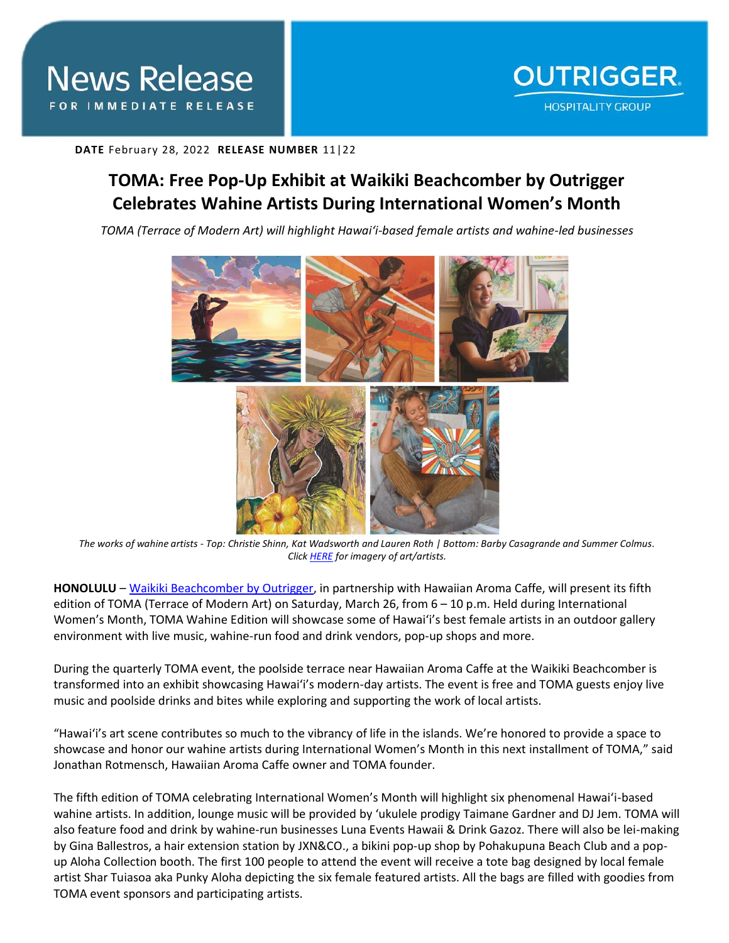**DATE** February 28, 2022 **RELEASE NUMBER** 11|22

## **TOMA: Free Pop-Up Exhibit at Waikiki Beachcomber by Outrigger Celebrates Wahine Artists During International Women's Month**

*TOMA (Terrace of Modern Art) will highlight Hawai'i-based female artists and wahine-led businesses* 



*The works of wahine artists - Top: Christie Shinn, Kat Wadsworth and Lauren Roth | Bottom: Barby Casagrande and Summer Colmus. Clic[k HERE](https://app.box.com/s/fo40s142214100t1at4s1ewja3yaw7g3) for imagery of art/artists.*

**HONOLULU** – [Waikiki Beachcomber by Outrigger,](https://www.outrigger.com/hotels-resorts/hawaii/oahu/waikiki-beachcomber-by-outrigger) in partnership with Hawaiian Aroma Caffe, will present its fifth edition of TOMA (Terrace of Modern Art) on Saturday, March 26, from 6 – 10 p.m. Held during International Women's Month, TOMA Wahine Edition will showcase some of Hawai'i's best female artists in an outdoor gallery environment with live music, wahine-run food and drink vendors, pop-up shops and more.

During the quarterly TOMA event, the poolside terrace near Hawaiian Aroma Caffe at the Waikiki Beachcomber is transformed into an exhibit showcasing Hawai'i's modern-day artists. The event is free and TOMA guests enjoy live music and poolside drinks and bites while exploring and supporting the work of local artists.

"Hawai'i's art scene contributes so much to the vibrancy of life in the islands. We're honored to provide a space to showcase and honor our wahine artists during International Women's Month in this next installment of TOMA," said Jonathan Rotmensch, Hawaiian Aroma Caffe owner and TOMA founder.

The fifth edition of TOMA celebrating International Women's Month will highlight six phenomenal Hawai'i-based wahine artists. In addition, lounge music will be provided by 'ukulele prodigy Taimane Gardner and DJ Jem. TOMA will also feature food and drink by wahine-run businesses Luna Events Hawaii & Drink Gazoz. There will also be lei-making by Gina Ballestros, a hair extension station by JXN&CO., a bikini pop-up shop by Pohakupuna Beach Club and a popup Aloha Collection booth. The first 100 people to attend the event will receive a tote bag designed by local female artist Shar Tuiasoa aka Punky Aloha depicting the six female featured artists. All the bags are filled with goodies from TOMA event sponsors and participating artists.